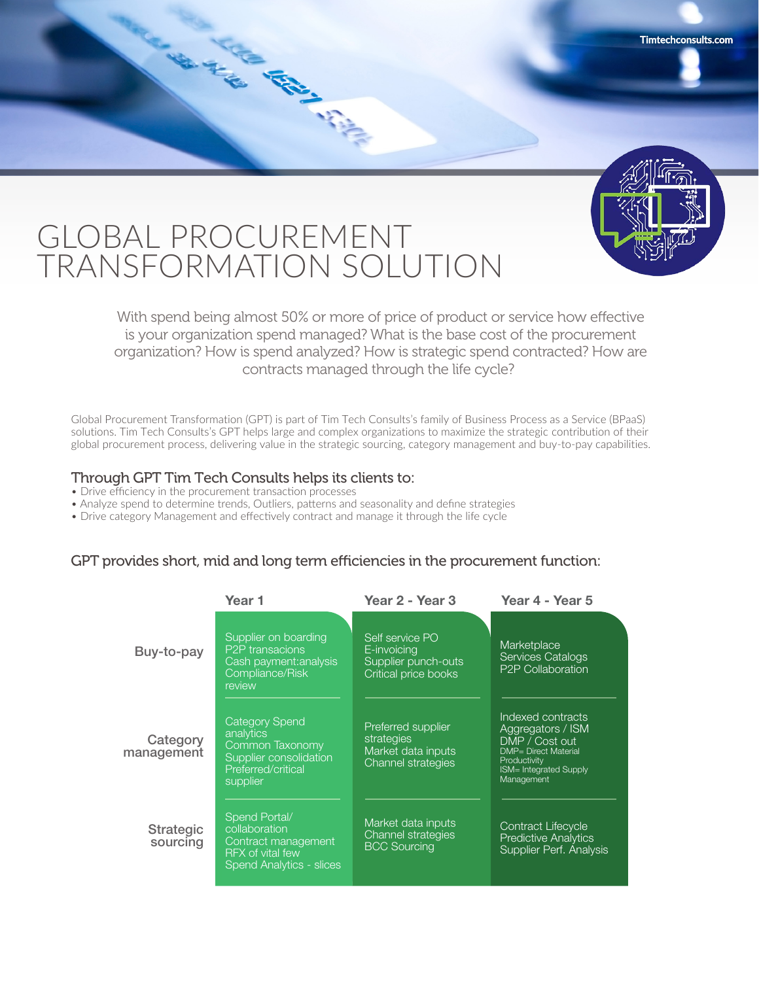

## GLOBAL PROCUREMENT TRANSFORMATION SOLUTION

AND MANUSCRIPT

With spend being almost 50% or more of price of product or service how effective is your organization spend managed? What is the base cost of the procurement organization? How is spend analyzed? How is strategic spend contracted? How are contracts managed through the life cycle?

Global Procurement Transformation (GPT) is part of Tim Tech Consults's family of Business Process as a Service (BPaaS) solutions. Tim Tech Consults's GPT helps large and complex organizations to maximize the strategic contribution of their global procurement process, delivering value in the strategic sourcing, category management and buy-to-pay capabilities.

## Through GPT Tim Tech Consults helps its clients to:

- Drive efficiency in the procurement transaction processes
- Analyze spend to determine trends, Outliers, patterns and seasonality and define strategies
- Drive category Management and effectively contract and manage it through the life cycle

## GPT provides short, mid and long term efficiencies in the procurement function:

|                              | Year 1                                                                                                            | Year 2 - Year 3                                                               | Year 4 - Year 5                                                                                                                                         |
|------------------------------|-------------------------------------------------------------------------------------------------------------------|-------------------------------------------------------------------------------|---------------------------------------------------------------------------------------------------------------------------------------------------------|
| Buy-to-pay                   | Supplier on boarding<br>P <sub>2</sub> P transacions<br>Cash payment: analysis<br>Compliance/Risk<br>review       | Self service PO<br>E-invoicing<br>Supplier punch-outs<br>Critical price books | Marketplace<br><b>Services Catalogs</b><br>P2P Collaboration                                                                                            |
| Category<br>management       | <b>Category Spend</b><br>analytics<br>Common Taxonomy<br>Supplier consolidation<br>Preferred/critical<br>supplier | Preferred supplier<br>strategies<br>Market data inputs<br>Channel strategies  | Indexed contracts<br>Aggregators / ISM<br>DMP / Cost out<br><b>DMP</b> = Direct Material<br>Productivity<br><b>ISM= Integrated Supply</b><br>Management |
| <b>Strategic</b><br>sourcing | Spend Portal/<br>collaboration<br>Contract management<br><b>RFX of vital few</b><br>Spend Analytics - slices      | Market data inputs<br><b>Channel strategies</b><br><b>BCC Sourcing</b>        | <b>Contract Lifecycle</b><br><b>Predictive Analytics</b><br>Supplier Perf. Analysis                                                                     |